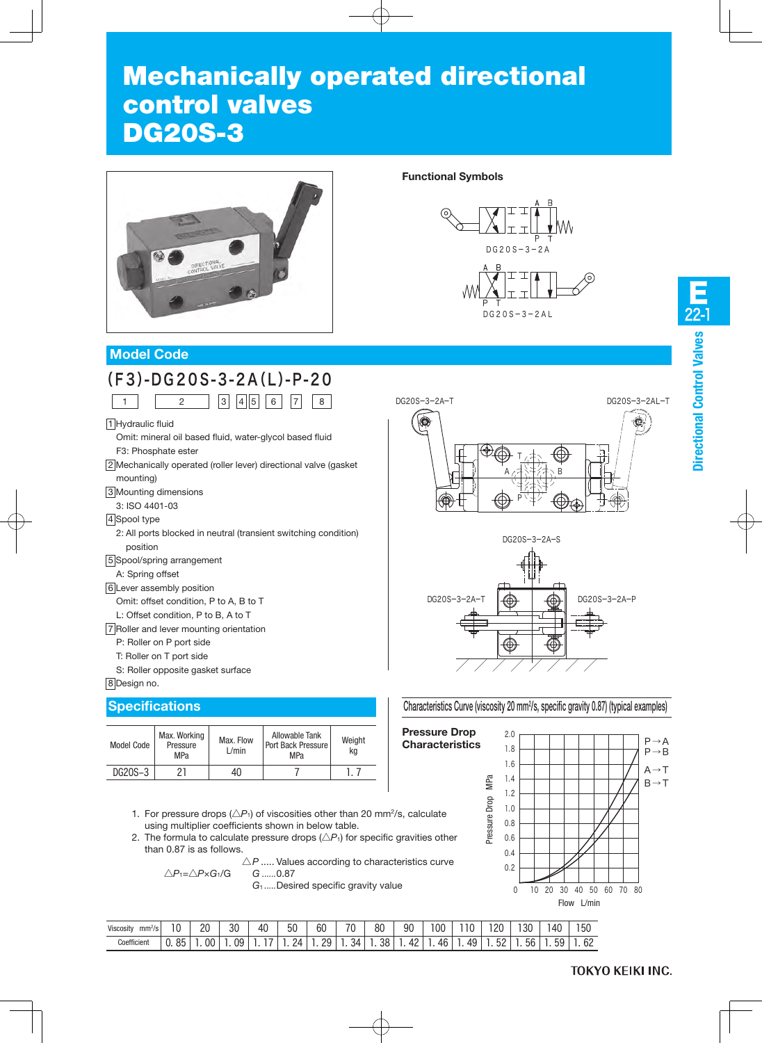# Mechanically operated directional control valves DG20S-3



# **Functional Symbols**



# **Model Code**

|  | $(F3)-DG20S-3-2A(L)-P-20$              |  |  |  |  |
|--|----------------------------------------|--|--|--|--|
|  | $1 \t 2 \t 3 \t 4 \t 5 \t 6 \t 7 \t 8$ |  |  |  |  |

1 Hydraulic fluid

- Omit: mineral oil based fluid, water-glycol based fluid F3: Phosphate ester
- 2 Mechanically operated (roller lever) directional valve (gasket mounting)
- 3 Mounting dimensions
- 3: ISO 4401-03
- 4 Spool type
- 2: All ports blocked in neutral (transient switching condition) position
- 5 Spool/spring arrangement
- A: Spring offset

#### 6 Lever assembly position

- Omit: offset condition, P to A, B to T
- L: Offset condition, P to B, A to T
- 7 Roller and lever mounting orientation
	- P: Roller on P port side
	- T: Roller on T port side
	- S: Roller opposite gasket surface

#### 8 Design no.

### **Specifications**

| Model Code | Max. Working<br>Pressure<br><b>MPa</b> | Max. Flow<br>L/min | Allowable Tank<br>Port Back Pressure<br>MPa | Weight<br>kq |
|------------|----------------------------------------|--------------------|---------------------------------------------|--------------|
| DG20S-3    | クー                                     |                    |                                             |              |

- 1. For pressure drops  $(\triangle P_1)$  of viscosities other than 20 mm<sup>2</sup>/s, calculate using multiplier coefficients shown in below table.
- 2. The formula to calculate pressure drops  $(\triangle P_1)$  for specific gravities other than 0.87 is as follows.
	- $\triangle P$  ..... Values according to characteristics curve △*P*1=△*P*×*G*1/G *G* ......0.87

*G*<sup>1</sup> .....Desired specific gravity value

| $^{\circ}$<br>Viscosity<br>mm <sup>2</sup> /s | 10             | 20<br>-- | 30 | 40 | 50 | 60       | 70 | 80 | 90 | 00       |    | 20              | 30 | 40              | 150 |
|-----------------------------------------------|----------------|----------|----|----|----|----------|----|----|----|----------|----|-----------------|----|-----------------|-----|
| Coefficient                                   | QF<br>υJ<br>v. | 00       | 09 |    | 2Δ | 20<br>Lu | 34 | 38 | 42 | 46<br>rv | 49 | <b>52</b><br>JL | 56 | 59<br>ັບ<br>. . | 62  |

# E 22-1**Directional Control Valves**





#### Characteristics Curve (viscosity 20 mm2/s, specific gravity 0.87) (typical examples)

**Pressure Drop Characteristics**

> $\ddot{\phantom{a}}$ 下

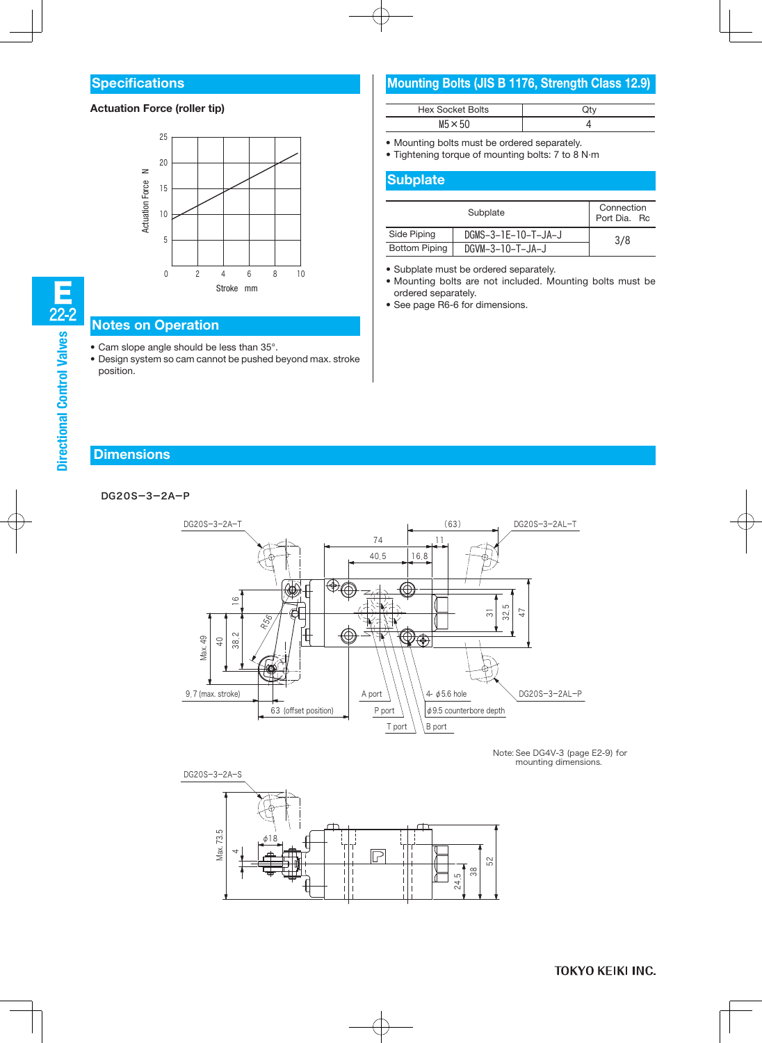#### **Specifications**

#### **Actuation Force (roller tip)**



#### **Notes on Operation**

- Cam slope angle should be less than 35°.
- Design system so cam cannot be pushed beyond max. stroke position.

# **Mounting Bolts (JIS B 1176, Strength Class 12.9)**

| <b>Hex Socket Bolts</b> |  |
|-------------------------|--|
| $M5 \times 50$          |  |

• Mounting bolts must be ordered separately.

• Tightening torque of mounting bolts: 7 to 8 N·m

#### **Subplate**

L

|                      | Connection<br>Port Dia, Rc |     |  |  |  |
|----------------------|----------------------------|-----|--|--|--|
| Side Piping          | DGMS-3-1E-10-T-JA-J        | 3/8 |  |  |  |
| <b>Bottom Piping</b> | DGVM-3-10-T-JA-J           |     |  |  |  |

• Subplate must be ordered separately.

• Mounting bolts are not included. Mounting bolts must be ordered separately.

• See page R6-6 for dimensions.

#### **Dimensions**

#### DG20S-3-2A-P



Note: See DG4V-3 (page E2-9) for mounting dimensions.